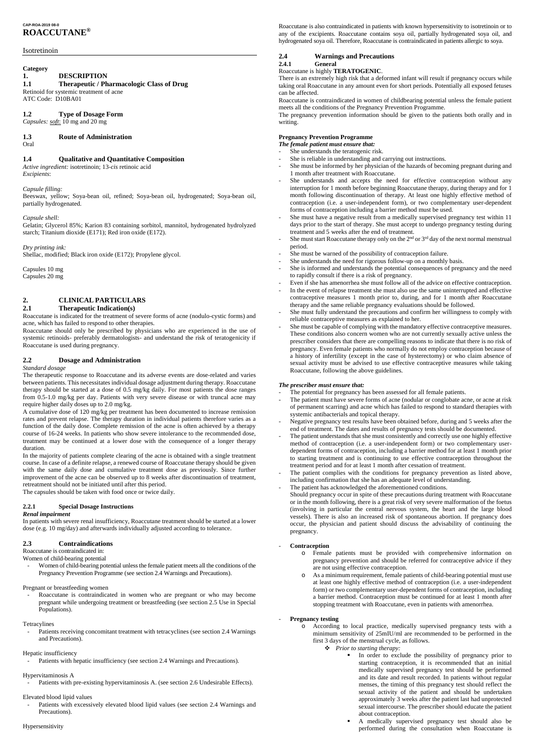# **CAP-ROA-2019 08-0 ROACCUTANE®**

# Isotretinoin

# **Category**

# **1. DESCRIPTION**

# **1.1 Therapeutic / Pharmacologic Class of Drug**

Retinoid for systemic treatment of acne ATC Code: D10BA01

# **1.2 Type of Dosage Form**

*Capsules: soft*: 10 mg and 20 mg

# **1.3 Route of Administration**

Oral

# **1.4 Qualitative and Quantitative Composition**

*Active ingredient:* isotretinoin; 13-*cis* retinoic acid *Excipients*:

### *Capsule filling:*

Beeswax, yellow; Soya-bean oil, refined; Soya-bean oil, hydrogenated; Soya-bean oil, partially hydrogenated.

*Capsule shell:*

Gelatin; Glycerol 85%; Karion 83 containing sorbitol, mannitol, hydrogenated hydrolyzed starch; Titanium dioxide (E171); Red iron oxide (E172).

*Dry printing ink:*

Shellac, modified; Black iron oxide (E172); Propylene glycol.

Capsules 10 mg Capsules 20 mg

# **2. CLINICAL PARTICULARS**

# **2.1 Therapeutic Indication(s)**

Roaccutane is indicated for the treatment of severe forms of acne (nodulo-cystic forms) and acne, which has failed to respond to other therapies.

Roaccutane should only be prescribed by physicians who are experienced in the use of systemic retinoids- preferably dermatologists- and understand the risk of teratogenicity if Roaccutane is used during pregnancy.

# **2.2 Dosage and Administration**

### *Standard dosage*

The therapeutic response to Roaccutane and its adverse events are dose-related and varies between patients. This necessitates individual dosage adjustment during therapy. Roaccutane therapy should be started at a dose of 0.5 mg/kg daily. For most patients the dose ranges from 0.5-1.0 mg/kg per day. Patients with very severe disease or with truncal acne may require higher daily doses up to 2.0 mg/kg.

Roaccutane is contraindicated in women who are pregnant or who may become pregnant while undergoing treatment or breastfeeding (see section 2.5 Use in Special Populations).

Patients receiving concomitant treatment with tetracyclines (see section 2.4 Warnings and Precautions).

Patients with excessively elevated blood lipid values (see section 2.4 Warnings and Precautions).

A cumulative dose of 120 mg/kg per treatment has been documented to increase remission rates and prevent relapse. The therapy duration in individual patients therefore varies as a function of the daily dose. Complete remission of the acne is often achieved by a therapy course of 16-24 weeks. In patients who show severe intolerance to the recommended dose, treatment may be continued at a lower dose with the consequence of a longer therapy duration.

In the majority of patients complete clearing of the acne is obtained with a single treatment course. In case of a definite relapse, a renewed course of Roaccutane therapy should be given with the same daily dose and cumulative treatment dose as previously. Since further improvement of the acne can be observed up to 8 weeks after discontinuation of treatment, retreatment should not be initiated until after this period.

The capsules should be taken with food once or twice daily.

### **2.2.1 Special Dosage Instructions**

### *Renal impairment*

In patients with severe renal insufficiency, Roaccutane treatment should be started at a lower dose (e.g. 10 mg/day) and afterwards individually adjusted according to tolerance.

# **2.3 Contraindications**

# Roaccutane is contraindicated in:

Women of child-bearing potential

- Women of child-bearing potential unless the female patient meets all the conditions of the

Pregnancy Prevention Programme (see section 2.4 Warnings and Precautions).

#### Pregnant or breastfeeding women

### Tetracylines

### Hepatic insufficiency

Patients with hepatic insufficiency (see section 2.4 Warnings and Precautions).

### Hypervitaminosis A

Patients with pre-existing hypervitaminosis A. (see section 2.6 Undesirable Effects).

Elevated blood lipid values

# Hypersensitivity

# **Pregnancy testing**

Roaccutane is also contraindicated in patients with known hypersensitivity to isotretinoin or to any of the excipients. Roaccutane contains soya oil, partially hydrogenated soya oil, and hydrogenated soya oil. Therefore, Roaccutane is contraindicated in patients allergic to soya.

# **2.4 Warnings and Precautions**

# **2.4.1 General**

Roaccutane is highly **TERATOGENIC**.

There is an extremely high risk that a deformed infant will result if pregnancy occurs while taking oral Roaccutane in any amount even for short periods. Potentially all exposed fetuses can be affected.

Roaccutane is contraindicated in women of childbearing potential unless the female patient meets all the conditions of the Pregnancy Prevention Programme.

The pregnancy prevention information should be given to the patients both orally and in writing.

# **Pregnancy Prevention Programme**

- *The female patient must ensure that:*
- She understands the teratogenic risk.
- She is reliable in understanding and carrying out instructions.
- She must be informed by her physician of the hazards of becoming pregnant during and 1 month after treatment with Roaccutane.
- She understands and accepts the need for effective contraception without any interruption for 1 month before beginning Roaccutane therapy, during therapy and for 1 month following discontinuation of therapy. At least one highly effective method of contraception (i.e. a user-independent form), or two complementary user-dependent forms of contraception including a barrier method must be used.
- She must have a negative result from a medically supervised pregnancy test within 11 days prior to the start of therapy. She must accept to undergo pregnancy testing during treatment and 5 weeks after the end of treatment.
- She must start Roaccutane therapy only on the  $2<sup>nd</sup>$  or  $3<sup>rd</sup>$  day of the next normal menstrual period.
- She must be warned of the possibility of contraception failure.
- She understands the need for rigorous follow-up on a monthly basis.
- She is informed and understands the potential consequences of pregnancy and the need to rapidly consult if there is a risk of pregnancy.
- Even if she has amenorrhea she must follow all of the advice on effective contraception.
- In the event of relapse treatment she must also use the same uninterrupted and effective contraceptive measures 1 month prior to, during, and for 1 month after Roaccutane therapy and the same reliable pregnancy evaluations should be followed.
- She must fully understand the precautions and confirm her willingness to comply with reliable contraceptive measures as explained to her.
- She must be capable of complying with the mandatory effective contraceptive measures. These conditions also concern women who are not currently sexually active unless the prescriber considers that there are compelling reasons to indicate that there is no risk of pregnancy. Even female patients who normally do not employ contraception because of a history of infertility (except in the case of hysterectomy) or who claim absence of sexual activity must be advised to use effective contraceptive measures while taking Roaccutane, following the above guidelines.

# *The prescriber must ensure that:*

- The potential for pregnancy has been assessed for all female patients.
- The patient must have severe forms of acne (nodular or conglobate acne, or acne at risk of permanent scarring) and acne which has failed to respond to standard therapies with systemic antibacterials and topical therapy.
- Negative pregnancy test results have been obtained before, during and 5 weeks after the end of treatment. The dates and results of pregnancy tests should be documented.
- The patient understands that she must consistently and correctly use one highly effective method of contraception (i.e. a user-independent form) or two complementary userdependent forms of contraception, including a barrier method for at least 1 month prior to starting treatment and is continuing to use effective contraception throughout the treatment period and for at least 1 month after cessation of treatment.
- The patient complies with the conditions for pregnancy prevention as listed above, including confirmation that she has an adequate level of understanding.
- The patient has acknowledged the aforementioned conditions.

Should pregnancy occur in spite of these precautions during treatment with Roaccutane or in the month following, there is a great risk of very severe malformation of the foetus (involving in particular the central nervous system, the heart and the large blood vessels). There is also an increased risk of spontaneous abortion. If pregnancy does occur, the physician and patient should discuss the advisability of continuing the pregnancy.

# - **Contraception**

o Female patients must be provided with comprehensive information on pregnancy prevention and should be referred for contraceptive advice if they are not using effective contraception. o As a minimum requirement, female patients of child-bearing potential must use at least one highly effective method of contraception (i.e. a user-independent form) or two complementary user-dependent forms of contraception, including a barrier method. Contraception must be continued for at least 1 month after stopping treatment with Roaccutane, even in patients with amenorrhea.

- o According to local practice, medically supervised pregnancy tests with a minimum sensitivity of 25mIU/ml are recommended to be performed in the first 3 days of the menstrual cycle, as follows.
	- v *Prior to starting therapy:*
		- § In order to exclude the possibility of pregnancy prior to starting contraception, it is recommended that an initial medically supervised pregnancy test should be performed and its date and result recorded. In patients without regular menses, the timing of this pregnancy test should reflect the sexual activity of the patient and should be undertaken approximately 3 weeks after the patient last had unprotected sexual intercourse. The prescriber should educate the patient about contraception.
		- § A medically supervised pregnancy test should also be performed during the consultation when Roaccutane is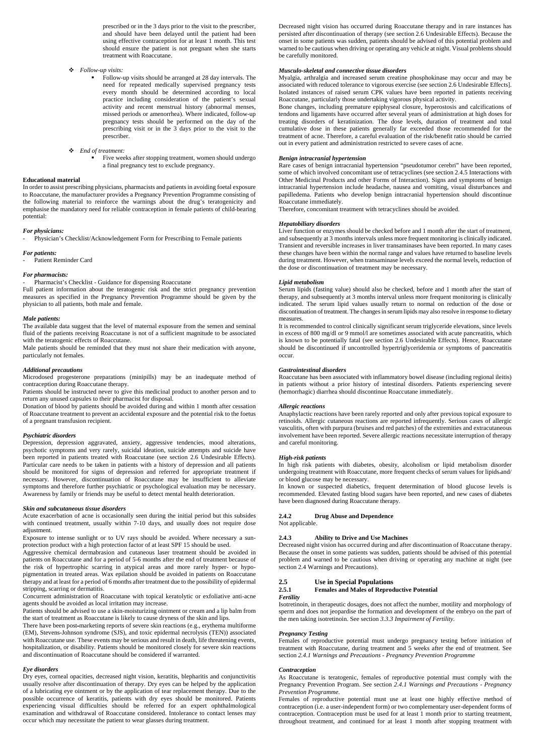prescribed or in the 3 days prior to the visit to the prescriber, and should have been delayed until the patient had been using effective contraception for at least 1 month. This test should ensure the patient is not pregnant when she starts treatment with Roaccutane.

- v *Follow-up visits:*
	- Follow-up visits should be arranged at 28 day intervals. The need for repeated medically supervised pregnancy tests every month should be determined according to local practice including consideration of the patient's sexual activity and recent menstrual history (abnormal menses, missed periods or amenorrhea). Where indicated, follow-up pregnancy tests should be performed on the day of the prescribing visit or in the 3 days prior to the visit to the prescriber.
- v *End of treatment:*
	- Five weeks after stopping treatment, women should undergo a final pregnancy test to exclude pregnancy.

#### **Educational material**

In order to assist prescribing physicians, pharmacists and patients in avoiding foetal exposure to Roaccutane, the manufacturer provides a Pregnancy Prevention Programme consisting of the following material to reinforce the warnings about the drug's teratogenicity and emphasise the mandatory need for reliable contraception in female patients of child-bearing potential:

#### *For physicians:*

- Physician's Checklist/Acknowledgement Form for Prescribing to Female patients

### *For patients:*

Patient Reminder Card

#### *For pharmacists:*

Pharmacist's Checklist - Guidance for dispensing Roaccutane

Full patient information about the teratogenic risk and the strict pregnancy prevention measures as specified in the Pregnancy Prevention Programme should be given by the physician to all patients, both male and female.

#### *Male patients:*

The available data suggest that the level of maternal exposure from the semen and seminal fluid of the patients receiving Roaccutane is not of a sufficient magnitude to be associated with the teratogenic effects of Roaccutane.

Male patients should be reminded that they must not share their medication with anyone, particularly not females.

#### *Additional precautions*

Microdosed progesterone preparations (minipills) may be an inadequate method of contraception during Roaccutane therapy.

Patients should be instructed never to give this medicinal product to another person and to return any unused capsules to their pharmacist for disposal.

Donation of blood by patients should be avoided during and within 1 month after cessation of Roaccutane treatment to prevent an accidental exposure and the potential risk to the foetus of a pregnant transfusion recipient.

#### *Psychiatric disorders*

Depression, depression aggravated, anxiety, aggressive tendencies, mood alterations, psychotic symptoms and very rarely, suicidal ideation, suicide attempts and suicide have been reported in patients treated with Roaccutane (see section 2.6 Undesirable Effects). Particular care needs to be taken in patients with a history of depression and all patients should be monitored for signs of depression and referred for appropriate treatment if necessary. However, discontinuation of Roaccutane may be insufficient to alleviate symptoms and therefore further psychiatric or psychological evaluation may be necessary. Awareness by family or friends may be useful to detect mental health deterioration.

#### *Skin and subcutaneous tissue disorders*

Acute exacerbation of acne is occasionally seen during the initial period but this subsides with continued treatment, usually within 7-10 days, and usually does not require dose adjustment.

Exposure to intense sunlight or to UV rays should be avoided. Where necessary a sunprotection product with a high protection factor of at least SPF 15 should be used.

Aggressive chemical dermabrasion and cutaneous laser treatment should be avoided in patients on Roaccutane and for a period of 5-6 months after the end of treatment because of the risk of hypertrophic scarring in atypical areas and more rarely hyper- or hypopigmentation in treated areas. Wax epilation should be avoided in patients on Roaccutane therapy and at least for a period of 6 months after treatment due to the possibility of epidermal stripping, scarring or dermatitis. Concurrent administration of Roaccutane with topical keratolytic or exfoliative anti-acne agents should be avoided as local irritation may increase.

Patients should be advised to use a skin-moisturizing ointment or cream and a lip balm from the start of treatment as Roaccutane is likely to cause dryness of the skin and lips.

There have been post-marketing reports of severe skin reactions (e.g., erythema multiforme (EM), Stevens-Johnson syndrome (SJS), and toxic epidermal necrolysis (TEN)) associated with Roaccutane use. These events may be serious and result in death, life threatening events, hospitalization, or disability. Patients should be monitored closely for severe skin reactions and discontinuation of Roaccutane should be considered if warranted.

#### *Eye disorders*

Dry eyes, corneal opacities, decreased night vision, keratitis, blepharitis and conjunctivitis usually resolve after discontinuation of therapy. Dry eyes can be helped by the application of a lubricating eye ointment or by the application of tear replacement therapy. Due to the possible occurrence of keratitis, patients with dry eyes should be monitored. Patients experiencing visual difficulties should be referred for an expert ophthalmological examination and withdrawal of Roaccutane considered. Intolerance to contact lenses may occur which may necessitate the patient to wear glasses during treatment.

Decreased night vision has occurred during Roaccutane therapy and in rare instances has persisted after discontinuation of therapy (see section 2.6 Undesirable Effects). Because the onset in some patients was sudden, patients should be advised of this potential problem and warned to be cautious when driving or operating any vehicle at night. Visual problems should be carefully monitored.

#### *Musculo-skeletal and connective tissue disorders*

Myalgia, arthralgia and increased serum creatine phosphokinase may occur and may be associated with reduced tolerance to vigorous exercise (see section 2.6 Undesirable Effects]. Isolated instances of raised serum CPK values have been reported in patients receiving Roaccutane, particularly those undertaking vigorous physical activity.

Bone changes, including premature epiphyseal closure, hyperostosis and calcifications of tendons and ligaments have occurred after several years of administration at high doses for treating disorders of keratinization. The dose levels, duration of treatment and total cumulative dose in these patients generally far exceeded those recommended for the treatment of acne. Therefore, a careful evaluation of the risk/benefit ratio should be carried out in every patient and administration restricted to severe cases of acne.

#### *Benign intracranial hypertension*

Rare cases of benign intracranial hypertension "pseudotumor cerebri" have been reported, some of which involved concomitant use of tetracyclines (see section 2.4.5 Interactions with Other Medicinal Products and other Forms of Interaction). Signs and symptoms of benign intracranial hypertension include headache, nausea and vomiting, visual disturbances and papilledema. Patients who develop benign intracranial hypertension should discontinue Roaccutane immediately.

Therefore, concomitant treatment with tetracyclines should be avoided.

#### *Hepatobiliary disorders*

Liver function or enzymes should be checked before and 1 month after the start of treatment, and subsequently at 3 months intervals unless more frequent monitoring is clinically indicated. Transient and reversible increases in liver transaminases have been reported. In many cases these changes have been within the normal range and values have returned to baseline levels during treatment. However, when transaminase levels exceed the normal levels, reduction of the dose or discontinuation of treatment may be necessary.

#### *Lipid metabolism*

Serum lipids (fasting value) should also be checked, before and 1 month after the start of therapy, and subsequently at 3 months interval unless more frequent monitoring is clinically indicated. The serum lipid values usually return to normal on reduction of the dose or discontinuation of treatment. The changes in serum lipids may also resolve in response to dietary measures.

It is recommended to control clinically significant serum triglyceride elevations, since levels in excess of 800 mg/dl or 9 mmol/l are sometimes associated with acute pancreatitis, which is known to be potentially fatal (see section 2.6 Undesirable Effects). Hence, Roaccutane should be discontinued if uncontrolled hypertriglyceridemia or symptoms of pancreatitis occur.

#### *Gastrointestinal disorders*

Roaccutane has been associated with inflammatory bowel disease (including regional ileitis) in patients without a prior history of intestinal disorders. Patients experiencing severe (hemorrhagic) diarrhea should discontinue Roaccutane immediately.

#### *Allergic reactions*

Anaphylactic reactions have been rarely reported and only after previous topical exposure to retinoids. Allergic cutaneous reactions are reported infrequently. Serious cases of allergic vasculitis, often with purpura (bruises and red patches) of the extremities and extracutaneous involvement have been reported. Severe allergic reactions necessitate interruption of therapy and careful monitoring.

#### *High-risk patients*

In high risk patients with diabetes, obesity, alcoholism or lipid metabolism disorder undergoing treatment with Roaccutane, more frequent checks of serum values for lipids and/ or blood glucose may be necessary.

In known or suspected diabetics, frequent determination of blood glucose levels is recommended. Elevated fasting blood sugars have been reported, and new cases of diabetes have been diagnosed during Roaccutane therapy.

# **2.4.2 Drug Abuse and Dependence**

Not applicable.

#### **2.4.3 Ability to Drive and Use Machines**

Decreased night vision has occurred during and after discontinuation of Roaccutane therapy. Because the onset in some patients was sudden, patients should be advised of this potential problem and warned to be cautious when driving or operating any machine at night (see section 2.4 Warnings and Precautions).

### **2.5 Use in Special Populations 2.5.1 Females and Males of Reproductive Potential** *Fertility*

Isotretinoin, in therapeutic dosages, does not affect the number, motility and morphology of sperm and does not jeopardise the formation and development of the embryo on the part of the men taking isotretinoin. See section *3.3.3 Impairment of Fertility.*

# *Pregnancy Testing*

Females of reproductive potential must undergo pregnancy testing before initiation of treatment with Roaccutane, during treatment and 5 weeks after the end of treatment. See section *2.4.1 Warnings and Precautions - Pregnancy Prevention Programme*

#### *Contraception*

As Roaccutane is teratogenic, females of reproductive potential must comply with the Pregnancy Prevention Program. See section *2.4.1 Warnings and Precautions - Pregnancy Prevention Programme.*

Females of reproductive potential must use at least one highly effective method of contraception (i.e. a user-independent form) or two complementary user-dependent forms of contraception. Contraception must be used for at least 1 month prior to starting treatment, throughout treatment, and continued for at least 1 month after stopping treatment with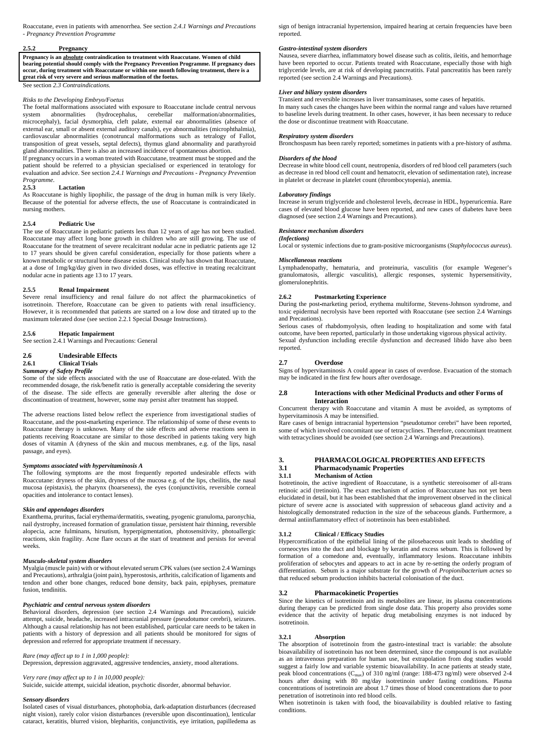Roaccutane, even in patients with amenorrhea. See section *2.4.1 Warnings and Precautions - Pregnancy Prevention Programme*

### **2.5.2 Pregnancy**

**Pregnancy is an absolute contraindication to treatment with Roaccutane. Women of child bearing potential should comply with the Pregnancy Prevention Programme. If pregnancy does occur, during treatment with Roaccutane or within one month following treatment, there is a great risk of very severe and serious malformation of the foetus.**

See section *2.3 Contraindications.*

#### *Risks to the Developing Embryo/Foetus*

The foetal malformations associated with exposure to Roaccutane include central nervous system abnormalities (hydrocephalus, cerebellar malformation/abnormalities, microcephaly), facial dysmorphia, cleft palate, external ear abnormalities (absence of external ear, small or absent external auditory canals), eye abnormalities (microphthalmia), cardiovascular abnormalities (conotruncal malformations such as tetralogy of Fallot, transposition of great vessels, septal defects), thymus gland abnormality and parathyroid gland abnormalities. There is also an increased incidence of spontaneous abortion.

If pregnancy occurs in a woman treated with Roaccutane, treatment must be stopped and the patient should be referred to a physician specialised or experienced in teratology for evaluation and advice. See section *2.4.1 Warnings and Precautions - Pregnancy Prevention Programme.*

#### **2.5.3 Lactation**

As Roaccutane is highly lipophilic, the passage of the drug in human milk is very likely. Because of the potential for adverse effects, the use of Roaccutane is contraindicated in nursing mothers.

### **2.5.4 Pediatric Use**

The use of Roaccutane in pediatric patients less than 12 years of age has not been studied. Roaccutane may affect long bone growth in children who are still growing. The use of Roaccutane for the treatment of severe recalcitrant nodular acne in pediatric patients age 12 to 17 years should be given careful consideration, especially for those patients where a known metabolic or structural bone disease exists. Clinical study has shown that Roaccutane, at a dose of 1mg/kg/day given in two divided doses, was effective in treating recalcitrant nodular acne in patients age 13 to 17 years.

### **2.5.5 Renal Impairment**

Severe renal insufficiency and renal failure do not affect the pharmacokinetics of isotretinoin. Therefore, Roaccutane can be given to patients with renal insufficiency. However, it is recommended that patients are started on a low dose and titrated up to the maximum tolerated dose (see section 2.2.1 Special Dosage Instructions).

#### **2.5.6 Hepatic Impairment**

See section 2.4.1 Warnings and Precautions: General

### **2.6 Undesirable Effects**

**2.6.1 Clinical Trials**

#### *Summary of Safety Profile*

Some of the side effects associated with the use of Roaccutane are dose-related. With the recommended dosage, the risk/benefit ratio is generally acceptable considering the severity of the disease. The side effects are generally reversible after altering the dose or discontinuation of treatment, however, some may persist after treatment has stopped.

The adverse reactions listed below reflect the experience from investigational studies of Roaccutane, and the post-marketing experience. The relationship of some of these events to Roaccutane therapy is unknown. Many of the side effects and adverse reactions seen in patients receiving Roaccutane are similar to those described in patients taking very high doses of vitamin A (dryness of the skin and mucous membranes, e.g. of the lips, nasal passage, and eyes).

### *Symptoms associated with hypervitaminosis A*

The following symptoms are the most frequently reported undesirable effects with Roaccutane: dryness of the skin, dryness of the mucosa e.g. of the lips, cheilitis, the nasal mucosa (epistaxis), the pharynx (hoarseness), the eyes (conjunctivitis, reversible corneal opacities and intolerance to contact lenses).

### *Skin and appendages disorders*

Exanthema, pruritus, facial erythema/dermatitis, sweating, pyogenic granuloma, paronychia, nail dystrophy, increased formation of granulation tissue, persistent hair thinning, reversible alopecia, acne fulminans, hirsutism, hyperpigmentation, photosensitivity, photoallergic reactions, skin fragility. Acne flare occurs at the start of treatment and persists for several weeks.

#### *Musculo-skeletal system disorders*

Myalgia (muscle pain) with or without elevated serum CPK values (see section 2.4 Warnings

and Precautions), arthralgia (joint pain), hyperostosis, arthritis, calcification of ligaments and tendon and other bone changes, reduced bone density, back pain, epiphyses, premature fusion, tendinitis.

### *Psychiatric and central nervous system disorders*

Behavioral disorders, depression (see section 2.4 Warnings and Precautions), suicide attempt, suicide, headache, increased intracranial pressure (pseudotumor cerebri), seizures. Although a causal relationship has not been established, particular care needs to be taken in patients with a history of depression and all patients should be monitored for signs of depression and referred for appropriate treatment if necessary.

### *Rare (may affect up to 1 in 1,000 people):*

Depression, depression aggravated, aggressive tendencies, anxiety, mood alterations.

*Very rare (may affect up to 1 in 10,000 people):* Suicide, suicide attempt, suicidal ideation, psychotic disorder, abnormal behavior.

#### *Sensory disorders*

Isolated cases of visual disturbances, photophobia, dark-adaptation disturbances (decreased night vision), rarely color vision disturbances (reversible upon discontinuation), lenticular cataract, keratitis, blurred vision, blepharitis, conjunctivitis, eye irritation, papilledema as sign of benign intracranial hypertension, impaired hearing at certain frequencies have been reported.

#### *Gastro-intestinal system disorders*

Nausea, severe diarrhea, inflammatory bowel disease such as colitis, ileitis, and hemorrhage have been reported to occur. Patients treated with Roaccutane, especially those with high triglyceride levels, are at risk of developing pancreatitis. Fatal pancreatitis has been rarely reported (see section 2.4 Warnings and Precautions).

#### *Liver and biliary system disorders*

Transient and reversible increases in liver transaminases, some cases of hepatitis. In many such cases the changes have been within the normal range and values have returned to baseline levels during treatment. In other cases, however, it has been necessary to reduce the dose or discontinue treatment with Roaccutane.

# *Respiratory system disorders*

Bronchospasm has been rarely reported; sometimes in patients with a pre-history of asthma.

#### *Disorders of the blood*

Decrease in white blood cell count, neutropenia, disorders of red blood cell parameters (such as decrease in red blood cell count and hematocrit, elevation of sedimentation rate), increase in platelet or decrease in platelet count (thrombocytopenia), anemia.

#### *Laboratory findings*

Increase in serum triglyceride and cholesterol levels, decrease in HDL, hyperuricemia. Rare cases of elevated blood glucose have been reported, and new cases of diabetes have been diagnosed (see section 2.4 Warnings and Precautions).

#### *Resistance mechanism disorders*

### *(Infections)*

Local or systemic infections due to gram-positive microorganisms (*Staphylococcus aureus*).

#### *Miscellaneous reactions*

Lymphadenopathy, hematuria, and proteinuria, vasculitis (for example Wegener's granulomatosis, allergic vasculitis), allergic responses, systemic hypersensitivity, glomerulonephritis.

### **2.6.2 Postmarketing Experience**

During the post-marketing period, erythema multiforme, Stevens-Johnson syndrome, and toxic epidermal necrolysis have been reported with Roaccutane (see section 2.4 Warnings and Precautions).

Serious cases of rhabdomyolysis, often leading to hospitalization and some with fatal outcome, have been reported, particularly in those undertaking vigorous physical activity. Sexual dysfunction including erectile dysfunction and decreased libido have also been reported.

### **2.7 Overdose**

Signs of hypervitaminosis A could appear in cases of overdose. Evacuation of the stomach may be indicated in the first few hours after overdosage.

### **2.8 Interactions with other Medicinal Products and other Forms of Interaction**

Concurrent therapy with Roaccutane and vitamin A must be avoided, as symptoms of hypervitaminosis A may be intensified.

Rare cases of benign intracranial hypertension "pseudotumor cerebri" have been reported, some of which involved concomitant use of tetracyclines. Therefore, concomitant treatment with tetracyclines should be avoided (see section 2.4 Warnings and Precautions).

### **3. PHARMACOLOGICAL PROPERTIES AND EFFECTS**

# **3.1 Pharmacodynamic Properties**

#### **3.1.1 Mechanism of Action**

Isotretinoin, the active ingredient of Roaccutane, is a synthetic stereoisomer of all-trans retinoic acid (tretinoin). The exact mechanism of action of Roaccutane has not yet been elucidated in detail, but it has been established that the improvement observed in the clinical picture of severe acne is associated with suppression of sebaceous gland activity and a histologically demonstrated reduction in the size of the sebaceous glands. Furthermore, a dermal antiinflammatory effect of isotretinoin has been established.

## **3.1.2 Clinical / Efficacy Studies**

Hypercornification of the epithelial lining of the pilosebaceous unit leads to shedding of corneocytes into the duct and blockage by keratin and excess sebum. This is followed by formation of a comedone and, eventually, inflammatory lesions. Roaccutane inhibits proliferation of sebocytes and appears to act in acne by re-setting the orderly program of differentiation. Sebum is a major substrate for the growth of *Propionibacterium acnes* so

that reduced sebum production inhibits bacterial colonisation of the duct.

## **3.2 Pharmacokinetic Properties**

Since the kinetics of isotretinoin and its metabolites are linear, its plasma concentrations during therapy can be predicted from single dose data. This property also provides some evidence that the activity of hepatic drug metabolising enzymes is not induced by isotretinoin.

## **3.2.1 Absorption**

The absorption of isotretinoin from the gastro-intestinal tract is variable: the absolute bioavailability of isotretinoin has not been determined, since the compound is not available as an intravenous preparation for human use, but extrapolation from dog studies would suggest a fairly low and variable systemic bioavailability. In acne patients at steady state, peak blood concentrations (Cmax) of 310 ng/ml (range: 188-473 ng/ml) were observed 2-4 hours after dosing with 80 mg/day isotretinoin under fasting conditions. Plasma concentrations of isotretinoin are about 1.7 times those of blood concentrations due to poor penetration of isotretinoin into red blood cells.

When isotretinoin is taken with food, the bioavailability is doubled relative to fasting conditions.